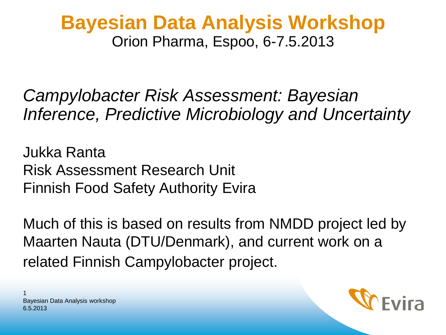#### **Bayesian Data Analysis Workshop** Orion Pharma, Espoo, 6-7.5.2013

*Campylobacter Risk Assessment: Bayesian Inference, Predictive Microbiology and Uncertainty*

Jukka Ranta Risk Assessment Research Unit Finnish Food Safety Authority Evira

Much of this is based on results from NMDD project led by Maarten Nauta (DTU/Denmark), and current work on a related Finnish Campylobacter project.

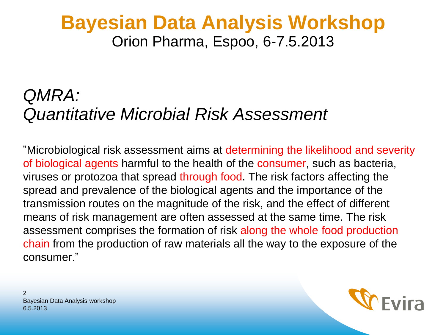#### **Bayesian Data Analysis Workshop** Orion Pharma, Espoo, 6-7.5.2013

#### *QMRA: Quantitative Microbial Risk Assessment*

"Microbiological risk assessment aims at determining the likelihood and severity of biological agents harmful to the health of the consumer, such as bacteria, viruses or protozoa that spread through food. The risk factors affecting the spread and prevalence of the biological agents and the importance of the transmission routes on the magnitude of the risk, and the effect of different means of risk management are often assessed at the same time. The risk assessment comprises the formation of risk along the whole food production chain from the production of raw materials all the way to the exposure of the consumer."

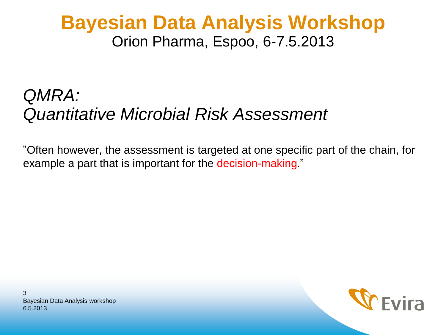#### **Bayesian Data Analysis Workshop** Orion Pharma, Espoo, 6-7.5.2013

#### *QMRA: Quantitative Microbial Risk Assessment*

"Often however, the assessment is targeted at one specific part of the chain, for example a part that is important for the decision-making."

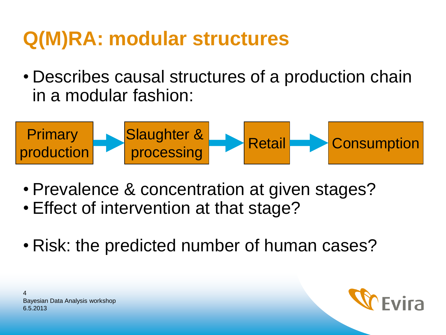# **Q(M)RA: modular structures**

• Describes causal structures of a production chain in a modular fashion:



- Prevalence & concentration at given stages?
- Effect of intervention at that stage?
- Risk: the predicted number of human cases?



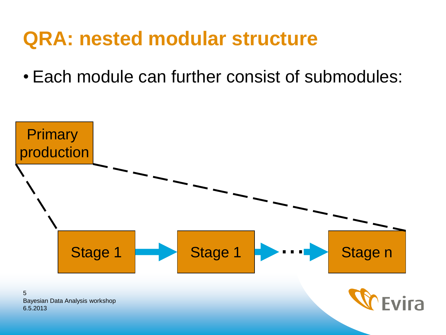#### **QRA: nested modular structure**

• Each module can further consist of submodules:



6.5.2013 5 Bayesian Data Analysis workshop

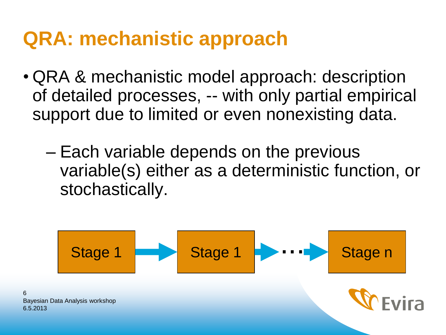## **QRA: mechanistic approach**

6

- QRA & mechanistic model approach: description of detailed processes, -- with only partial empirical support due to limited or even nonexisting data.
	- Each variable depends on the previous variable(s) either as a deterministic function, or stochastically.

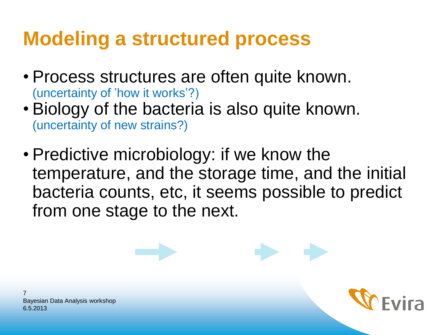# **Modeling a structured process**

- Process structures are often quite known. (uncertainty of 'how it works'?)
- Biology of the bacteria is also quite known. (uncertainty of new strains?)
- Predictive microbiology: if we know the temperature, and the storage time, and the initial bacteria counts, etc, it seems possible to predict from one stage to the next.

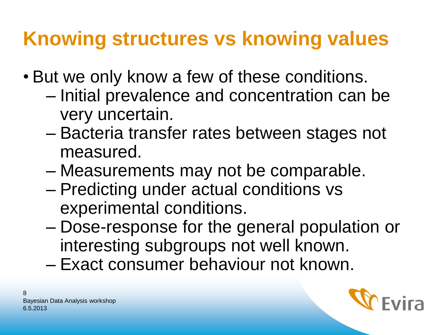# **Knowing structures vs knowing values**

- But we only know a few of these conditions.
	- Initial prevalence and concentration can be very uncertain.
	- Bacteria transfer rates between stages not measured.
	- Measurements may not be comparable.
	- Predicting under actual conditions vs experimental conditions.
	- Dose-response for the general population or interesting subgroups not well known.
	- Exact consumer behaviour not known.

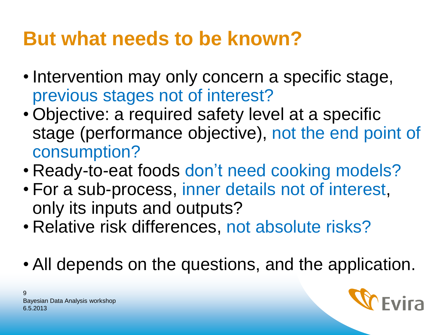# **But what needs to be known?**

- Intervention may only concern a specific stage, previous stages not of interest?
- Objective: a required safety level at a specific stage (performance objective), not the end point of consumption?
- Ready-to-eat foods don't need cooking models?
	- For a sub-process, inner details not of interest, only its inputs and outputs?
	- Relative risk differences, not absolute risks?
	- All depends on the questions, and the application.

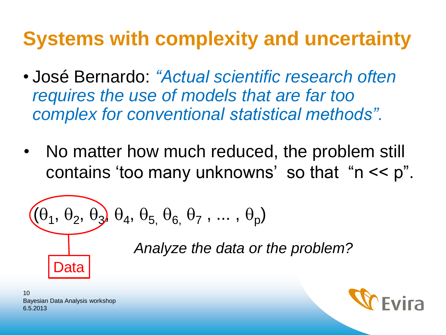# **Systems with complexity and uncertainty**

- José Bernardo: *"Actual scientific research often requires the use of models that are far too complex for conventional statistical methods".*
- No matter how much reduced, the problem still contains 'too many unknowns' so that "n << p".

$$
\begin{array}{c}\n(\theta_1, \theta_2, \theta_3, \theta_4, \theta_5, \theta_6, \theta_7, \dots, \theta_p) \\
\hline\n\text{Analyze the data or the problem?} \\
\hline\n\end{array}
$$

6.5.2013 10 Bayesian Data Analysis workshop

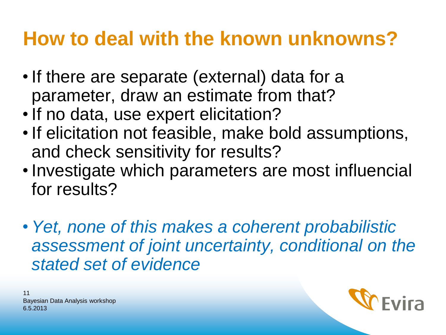## **How to deal with the known unknowns?**

- If there are separate (external) data for a parameter, draw an estimate from that?
- If no data, use expert elicitation?
- If elicitation not feasible, make bold assumptions, and check sensitivity for results?
- Investigate which parameters are most influencial for results?
	- *Yet, none of this makes a coherent probabilistic assessment of joint uncertainty, conditional on the stated set of evidence*



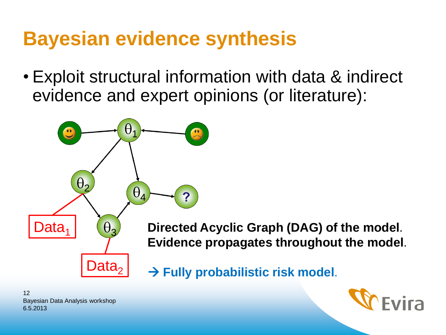## **Bayesian evidence synthesis**

• Exploit structural information with data & indirect evidence and expert opinions (or literature):





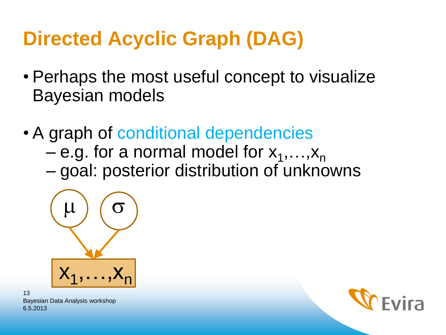# **Directed Acyclic Graph (DAG)**

- Perhaps the most useful concept to visualize Bayesian models
- A graph of conditional dependencies
	- $-$  e.g. for a normal model for  $x_1, ..., x_n$
	- goal: posterior distribution of unknowns



6.5.2013 13 Bayesian Data Analysis workshop

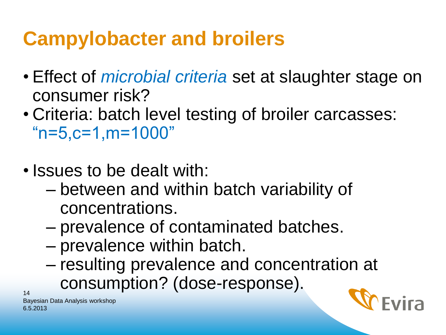# **Campylobacter and broilers**

- Effect of *microbial criteria* set at slaughter stage on consumer risk?
- Criteria: batch level testing of broiler carcasses:  $"n=5,c=1,m=1000"$
- Issues to be dealt with:
	- between and within batch variability of concentrations.
	- prevalence of contaminated batches.
	- prevalence within batch.
	- resulting prevalence and concentration at consumption? (dose-response).



6.5.2013 Bayesian Data Analysis workshop

14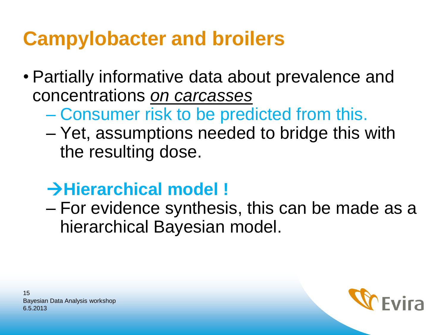## **Campylobacter and broilers**

- Partially informative data about prevalence and concentrations *on carcasses* 
	- Consumer risk to be predicted from this.
	- Yet, assumptions needed to bridge this with the resulting dose.

#### **Hierarchical model !**

– For evidence synthesis, this can be made as a hierarchical Bayesian model.

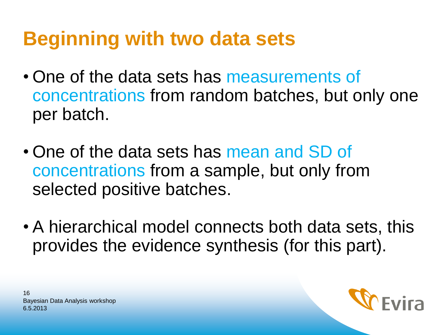# **Beginning with two data sets**

- One of the data sets has measurements of concentrations from random batches, but only one per batch.
- One of the data sets has mean and SD of concentrations from a sample, but only from selected positive batches.
- A hierarchical model connects both data sets, this provides the evidence synthesis (for this part).



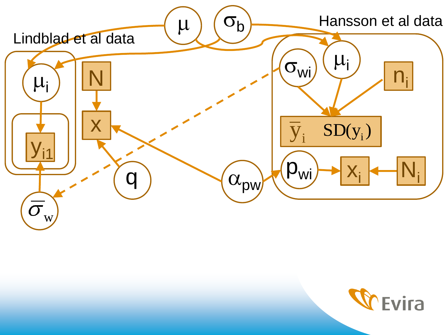

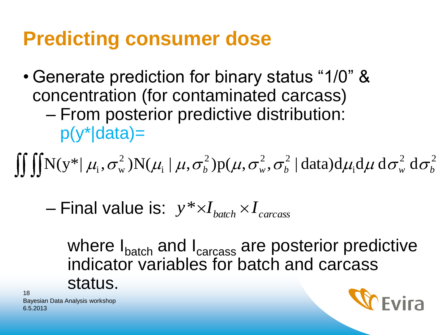### **Predicting consumer dose**

• Generate prediction for binary status "1/0" & concentration (for contaminated carcass) – From posterior predictive distribution: p(y\*|data)=

$$
\iiint N(y^* | \mu_i, \sigma_w^2) N(\mu_i | \mu, \sigma_b^2) p(\mu, \sigma_w^2, \sigma_b^2 | data) d\mu_i d\mu d\sigma_w^2 d\sigma_b^2
$$

 $-$  Final value is:  $y * xI_{batch} * I_{carcass}$ 

where I<sub>batch</sub> and I<sub>carcass</sub> are posterior predictive indicator variables for batch and carcass status.  $\int \iint N(y^* | \mu_i, \sigma_w^2) N(\mu_i | \mu, \sigma_b^2) p(\mu, \sigma_w^2, \sigma_b^2 | \text{data}) d\mu_i d\mu d\sigma_w^2 d\sigma_b^2$ <br>
— Final value is:  $y^* \times I_{batch} \times I_{carcass}$ <br>
where  $I_{batch}$  and  $I_{carcass}$  are posterior predictive<br>
indicator variables for batch and carcass<br>
status.

6.5.2013 18

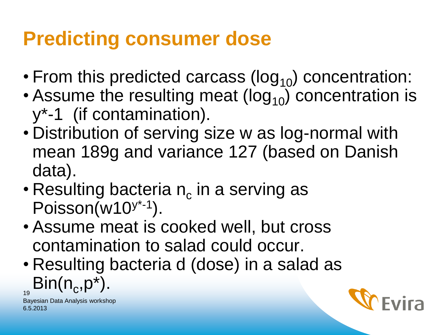## **Predicting consumer dose**

- From this predicted carcass ( $log_{10}$ ) concentration:
- Assume the resulting meat ( $log_{10}$ ) concentration is y\*-1 (if contamination).
- Distribution of serving size w as log-normal with mean 189g and variance 127 (based on Danish data).
- Resulting bacteria  $n_c$  in a serving as Poisson(w10<sup>y\*-1</sup>).
- Assume meat is cooked well, but cross contamination to salad could occur.
- 19 • Resulting bacteria d (dose) in a salad as  $\mathsf{Bin}(n_c, p^*)$ .

6.5.2013 Bayesian Data Analysis workshop

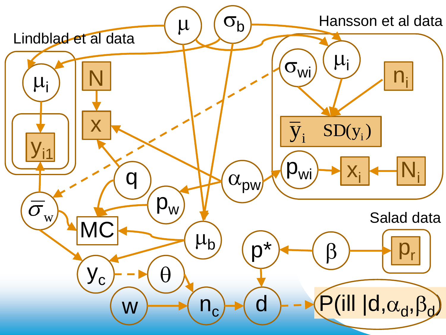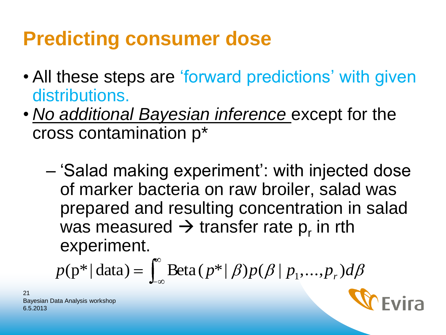# **Predicting consumer dose**

- All these steps are 'forward predictions' with given distributions.
- *No additional Bayesian inference* except for the cross contamination p\*
	- 'Salad making experiment': with injected dose of marker bacteria on raw broiler, salad was prepared and resulting concentration in salad was measured  $\rightarrow$  transfer rate p<sub>r</sub> in rth experiment.

$$
p(\mathbf{p}^* | \text{data}) = \int_{-\infty}^{\infty} \text{Beta}(p^* | \beta) p(\beta | p_1, ..., p_r) d\beta
$$



6.5.2013 21 Bayesian Data Analysis workshop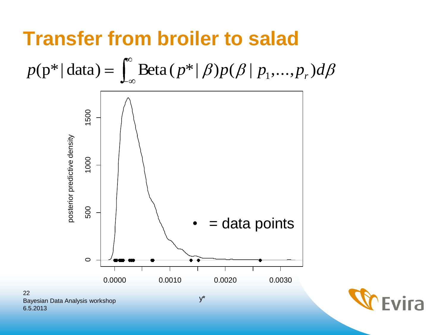#### **Transfer from broiler to salad**



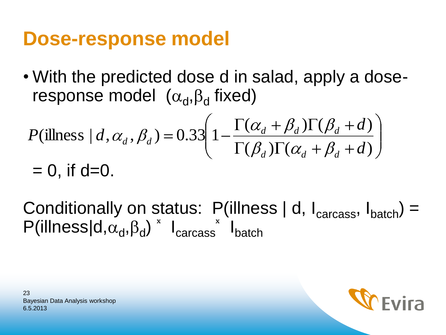#### **Dose-response model**

• With the predicted dose d in salad, apply a doseresponse model  $(\alpha_d, \beta_d$  fixed)

$$
P(\text{illness} \mid d, \alpha_d, \beta_d) = 0.33 \left( 1 - \frac{\Gamma(\alpha_d + \beta_d)\Gamma(\beta_d + d)}{\Gamma(\beta_d)\Gamma(\alpha_d + \beta_d + d)} \right)
$$
  
= 0, if d=0.

Conditionally on status: P(illness | d,  $I_{\text{carcass}}$ ,  $I_{\text{batch}}$ ) =  $P($ illness $|d,\alpha_d,\beta_d\rangle$ <sup>×</sup>  $I_{\text{carcass}}$ <sup>\*</sup>  $I_{\text{batch}}$ 

6.5.2013 23 Bayesian Data Analysis workshop

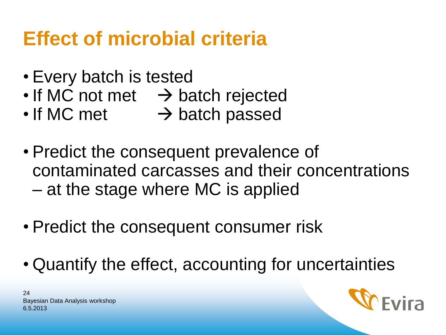# **Effect of microbial criteria**

- Every batch is tested
- $\cdot$  If MC not met  $\rightarrow$  batch rejected
- $\cdot$  If MC met  $\rightarrow$  batch passed
- Predict the consequent prevalence of contaminated carcasses and their concentrations – at the stage where MC is applied
- Predict the consequent consumer risk
- Quantify the effect, accounting for uncertainties

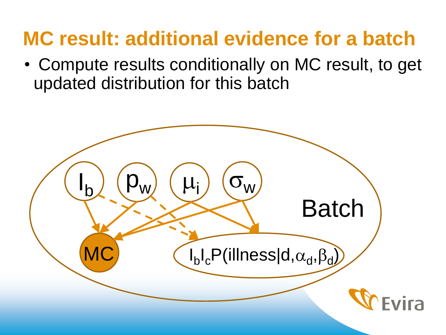# **MC result: additional evidence for a batch**

• Compute results conditionally on MC result, to get updated distribution for this batch

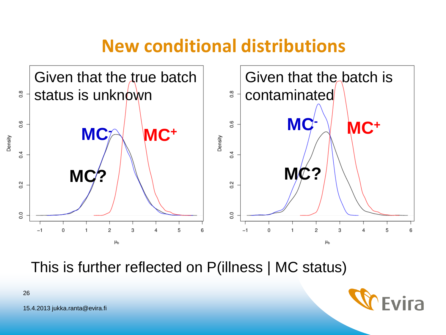#### **New conditional distributions**



This is further reflected on P(illness | MC status)



15.4.2013 jukka.ranta@evira.fi